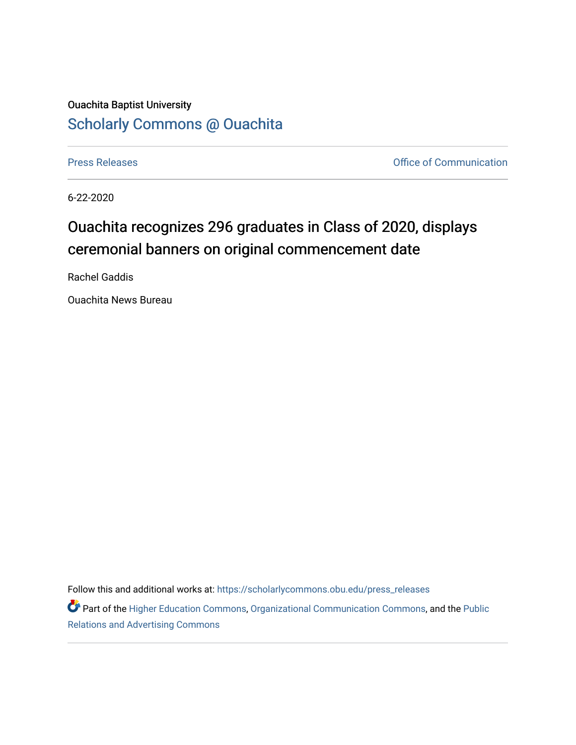## Ouachita Baptist University [Scholarly Commons @ Ouachita](https://scholarlycommons.obu.edu/)

[Press Releases](https://scholarlycommons.obu.edu/press_releases) **Press Releases Communication Press Releases Office of Communication** 

6-22-2020

## Ouachita recognizes 296 graduates in Class of 2020, displays ceremonial banners on original commencement date

Rachel Gaddis

Ouachita News Bureau

Follow this and additional works at: [https://scholarlycommons.obu.edu/press\\_releases](https://scholarlycommons.obu.edu/press_releases?utm_source=scholarlycommons.obu.edu%2Fpress_releases%2F733&utm_medium=PDF&utm_campaign=PDFCoverPages)

Part of the [Higher Education Commons,](http://network.bepress.com/hgg/discipline/1245?utm_source=scholarlycommons.obu.edu%2Fpress_releases%2F733&utm_medium=PDF&utm_campaign=PDFCoverPages) [Organizational Communication Commons,](http://network.bepress.com/hgg/discipline/335?utm_source=scholarlycommons.obu.edu%2Fpress_releases%2F733&utm_medium=PDF&utm_campaign=PDFCoverPages) and the [Public](http://network.bepress.com/hgg/discipline/336?utm_source=scholarlycommons.obu.edu%2Fpress_releases%2F733&utm_medium=PDF&utm_campaign=PDFCoverPages) [Relations and Advertising Commons](http://network.bepress.com/hgg/discipline/336?utm_source=scholarlycommons.obu.edu%2Fpress_releases%2F733&utm_medium=PDF&utm_campaign=PDFCoverPages)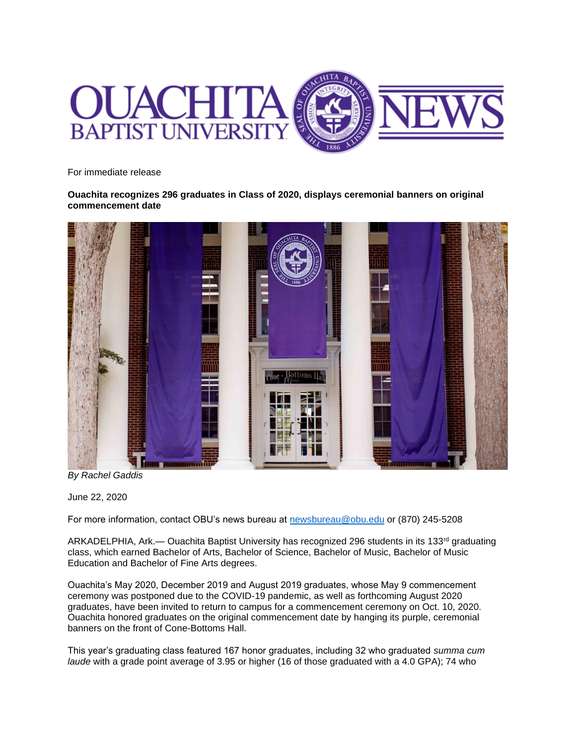

For immediate release

**Ouachita recognizes 296 graduates in Class of 2020, displays ceremonial banners on original commencement date**



*By Rachel Gaddis*

June 22, 2020

For more information, contact OBU's news bureau at [newsbureau@obu.edu](mailto:newsbureau@obu.edu) or (870) 245-5208

ARKADELPHIA, Ark.- Ouachita Baptist University has recognized 296 students in its 133<sup>rd</sup> graduating class, which earned Bachelor of Arts, Bachelor of Science, Bachelor of Music, Bachelor of Music Education and Bachelor of Fine Arts degrees.

Ouachita's May 2020, December 2019 and August 2019 graduates, whose May 9 commencement ceremony was postponed due to the COVID-19 pandemic, as well as forthcoming August 2020 graduates, have been invited to return to campus for a commencement ceremony on Oct. 10, 2020. Ouachita honored graduates on the original commencement date by hanging its purple, ceremonial banners on the front of Cone-Bottoms Hall.

This year's graduating class featured 167 honor graduates, including 32 who graduated *summa cum laude* with a grade point average of 3.95 or higher (16 of those graduated with a 4.0 GPA); 74 who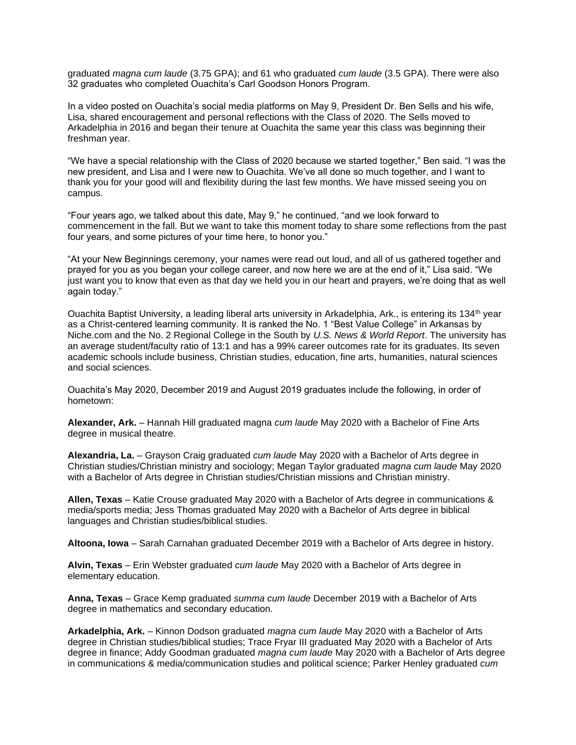graduated *magna cum laude* (3.75 GPA); and 61 who graduated *cum laude* (3.5 GPA). There were also 32 graduates who completed Ouachita's Carl Goodson Honors Program.

In a video posted on Ouachita's social media platforms on May 9, President Dr. Ben Sells and his wife, Lisa, shared encouragement and personal reflections with the Class of 2020. The Sells moved to Arkadelphia in 2016 and began their tenure at Ouachita the same year this class was beginning their freshman year.

"We have a special relationship with the Class of 2020 because we started together," Ben said. "I was the new president, and Lisa and I were new to Ouachita. We've all done so much together, and I want to thank you for your good will and flexibility during the last few months. We have missed seeing you on campus.

"Four years ago, we talked about this date, May 9," he continued, "and we look forward to commencement in the fall. But we want to take this moment today to share some reflections from the past four years, and some pictures of your time here, to honor you."

"At your New Beginnings ceremony, your names were read out loud, and all of us gathered together and prayed for you as you began your college career, and now here we are at the end of it," Lisa said. "We just want you to know that even as that day we held you in our heart and prayers, we're doing that as well again today."

Ouachita Baptist University, a leading liberal arts university in Arkadelphia, Ark., is entering its 134<sup>th</sup> year as a Christ-centered learning community. It is ranked the No. 1 "Best Value College" in Arkansas by Niche.com and the No. 2 Regional College in the South by *U.S. News & World Report*. The university has an average student/faculty ratio of 13:1 and has a 99% career outcomes rate for its graduates. Its seven academic schools include business, Christian studies, education, fine arts, humanities, natural sciences and social sciences.

Ouachita's May 2020, December 2019 and August 2019 graduates include the following, in order of hometown:

**Alexander, Ark.** – Hannah Hill graduated magna *cum laude* May 2020 with a Bachelor of Fine Arts degree in musical theatre.

**Alexandria, La.** – Grayson Craig graduated *cum laude* May 2020 with a Bachelor of Arts degree in Christian studies/Christian ministry and sociology; Megan Taylor graduated *magna cum laude* May 2020 with a Bachelor of Arts degree in Christian studies/Christian missions and Christian ministry.

**Allen, Texas** – Katie Crouse graduated May 2020 with a Bachelor of Arts degree in communications & media/sports media; Jess Thomas graduated May 2020 with a Bachelor of Arts degree in biblical languages and Christian studies/biblical studies.

**Altoona, Iowa** – Sarah Carnahan graduated December 2019 with a Bachelor of Arts degree in history.

**Alvin, Texas** – Erin Webster graduated *cum laude* May 2020 with a Bachelor of Arts degree in elementary education.

**Anna, Texas** – Grace Kemp graduated *summa cum laude* December 2019 with a Bachelor of Arts degree in mathematics and secondary education.

**Arkadelphia, Ark.** – Kinnon Dodson graduated *magna cum laude* May 2020 with a Bachelor of Arts degree in Christian studies/biblical studies; Trace Fryar III graduated May 2020 with a Bachelor of Arts degree in finance; Addy Goodman graduated *magna cum laude* May 2020 with a Bachelor of Arts degree in communications & media/communication studies and political science; Parker Henley graduated *cum*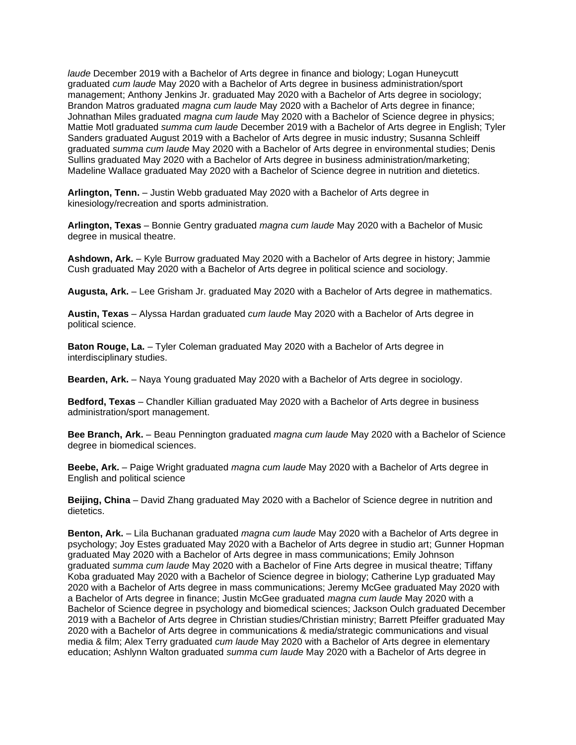*laude* December 2019 with a Bachelor of Arts degree in finance and biology; Logan Huneycutt graduated *cum laude* May 2020 with a Bachelor of Arts degree in business administration/sport management; Anthony Jenkins Jr. graduated May 2020 with a Bachelor of Arts degree in sociology; Brandon Matros graduated *magna cum laude* May 2020 with a Bachelor of Arts degree in finance; Johnathan Miles graduated *magna cum laude* May 2020 with a Bachelor of Science degree in physics; Mattie Motl graduated *summa cum laude* December 2019 with a Bachelor of Arts degree in English; Tyler Sanders graduated August 2019 with a Bachelor of Arts degree in music industry; Susanna Schleiff graduated *summa cum laude* May 2020 with a Bachelor of Arts degree in environmental studies; Denis Sullins graduated May 2020 with a Bachelor of Arts degree in business administration/marketing; Madeline Wallace graduated May 2020 with a Bachelor of Science degree in nutrition and dietetics.

**Arlington, Tenn.** – Justin Webb graduated May 2020 with a Bachelor of Arts degree in kinesiology/recreation and sports administration.

**Arlington, Texas** – Bonnie Gentry graduated *magna cum laude* May 2020 with a Bachelor of Music degree in musical theatre.

**Ashdown, Ark.** – Kyle Burrow graduated May 2020 with a Bachelor of Arts degree in history; Jammie Cush graduated May 2020 with a Bachelor of Arts degree in political science and sociology.

**Augusta, Ark.** – Lee Grisham Jr. graduated May 2020 with a Bachelor of Arts degree in mathematics.

**Austin, Texas** – Alyssa Hardan graduated *cum laude* May 2020 with a Bachelor of Arts degree in political science.

**Baton Rouge, La.** – Tyler Coleman graduated May 2020 with a Bachelor of Arts degree in interdisciplinary studies.

**Bearden, Ark.** – Naya Young graduated May 2020 with a Bachelor of Arts degree in sociology.

**Bedford, Texas** – Chandler Killian graduated May 2020 with a Bachelor of Arts degree in business administration/sport management.

**Bee Branch, Ark.** – Beau Pennington graduated *magna cum laude* May 2020 with a Bachelor of Science degree in biomedical sciences.

**Beebe, Ark.** – Paige Wright graduated *magna cum laude* May 2020 with a Bachelor of Arts degree in English and political science

**Beijing, China** – David Zhang graduated May 2020 with a Bachelor of Science degree in nutrition and dietetics.

**Benton, Ark.** – Lila Buchanan graduated *magna cum laude* May 2020 with a Bachelor of Arts degree in psychology; Joy Estes graduated May 2020 with a Bachelor of Arts degree in studio art; Gunner Hopman graduated May 2020 with a Bachelor of Arts degree in mass communications; Emily Johnson graduated *summa cum laude* May 2020 with a Bachelor of Fine Arts degree in musical theatre; Tiffany Koba graduated May 2020 with a Bachelor of Science degree in biology; Catherine Lyp graduated May 2020 with a Bachelor of Arts degree in mass communications; Jeremy McGee graduated May 2020 with a Bachelor of Arts degree in finance; Justin McGee graduated *magna cum laude* May 2020 with a Bachelor of Science degree in psychology and biomedical sciences; Jackson Oulch graduated December 2019 with a Bachelor of Arts degree in Christian studies/Christian ministry; Barrett Pfeiffer graduated May 2020 with a Bachelor of Arts degree in communications & media/strategic communications and visual media & film; Alex Terry graduated *cum laude* May 2020 with a Bachelor of Arts degree in elementary education; Ashlynn Walton graduated *summa cum laude* May 2020 with a Bachelor of Arts degree in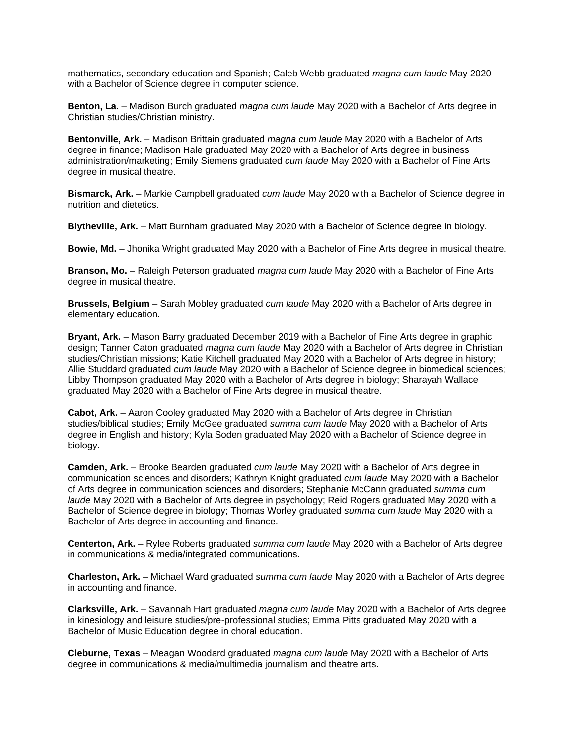mathematics, secondary education and Spanish; Caleb Webb graduated *magna cum laude* May 2020 with a Bachelor of Science degree in computer science.

**Benton, La.** – Madison Burch graduated *magna cum laude* May 2020 with a Bachelor of Arts degree in Christian studies/Christian ministry.

**Bentonville, Ark.** – Madison Brittain graduated *magna cum laude* May 2020 with a Bachelor of Arts degree in finance; Madison Hale graduated May 2020 with a Bachelor of Arts degree in business administration/marketing; Emily Siemens graduated *cum laude* May 2020 with a Bachelor of Fine Arts degree in musical theatre.

**Bismarck, Ark.** – Markie Campbell graduated *cum laude* May 2020 with a Bachelor of Science degree in nutrition and dietetics.

**Blytheville, Ark.** – Matt Burnham graduated May 2020 with a Bachelor of Science degree in biology.

**Bowie, Md.** – Jhonika Wright graduated May 2020 with a Bachelor of Fine Arts degree in musical theatre.

**Branson, Mo.** – Raleigh Peterson graduated *magna cum laude* May 2020 with a Bachelor of Fine Arts degree in musical theatre.

**Brussels, Belgium** – Sarah Mobley graduated *cum laude* May 2020 with a Bachelor of Arts degree in elementary education.

**Bryant, Ark.** – Mason Barry graduated December 2019 with a Bachelor of Fine Arts degree in graphic design; Tanner Caton graduated *magna cum laude* May 2020 with a Bachelor of Arts degree in Christian studies/Christian missions; Katie Kitchell graduated May 2020 with a Bachelor of Arts degree in history; Allie Studdard graduated *cum laude* May 2020 with a Bachelor of Science degree in biomedical sciences; Libby Thompson graduated May 2020 with a Bachelor of Arts degree in biology; Sharayah Wallace graduated May 2020 with a Bachelor of Fine Arts degree in musical theatre.

**Cabot, Ark.** – Aaron Cooley graduated May 2020 with a Bachelor of Arts degree in Christian studies/biblical studies; Emily McGee graduated *summa cum laude* May 2020 with a Bachelor of Arts degree in English and history; Kyla Soden graduated May 2020 with a Bachelor of Science degree in biology.

**Camden, Ark.** – Brooke Bearden graduated *cum laude* May 2020 with a Bachelor of Arts degree in communication sciences and disorders; Kathryn Knight graduated *cum laude* May 2020 with a Bachelor of Arts degree in communication sciences and disorders; Stephanie McCann graduated *summa cum laude* May 2020 with a Bachelor of Arts degree in psychology; Reid Rogers graduated May 2020 with a Bachelor of Science degree in biology; Thomas Worley graduated *summa cum laude* May 2020 with a Bachelor of Arts degree in accounting and finance.

**Centerton, Ark.** – Rylee Roberts graduated *summa cum laude* May 2020 with a Bachelor of Arts degree in communications & media/integrated communications.

**Charleston, Ark.** – Michael Ward graduated *summa cum laude* May 2020 with a Bachelor of Arts degree in accounting and finance.

**Clarksville, Ark.** – Savannah Hart graduated *magna cum laude* May 2020 with a Bachelor of Arts degree in kinesiology and leisure studies/pre-professional studies; Emma Pitts graduated May 2020 with a Bachelor of Music Education degree in choral education.

**Cleburne, Texas** – Meagan Woodard graduated *magna cum laude* May 2020 with a Bachelor of Arts degree in communications & media/multimedia journalism and theatre arts.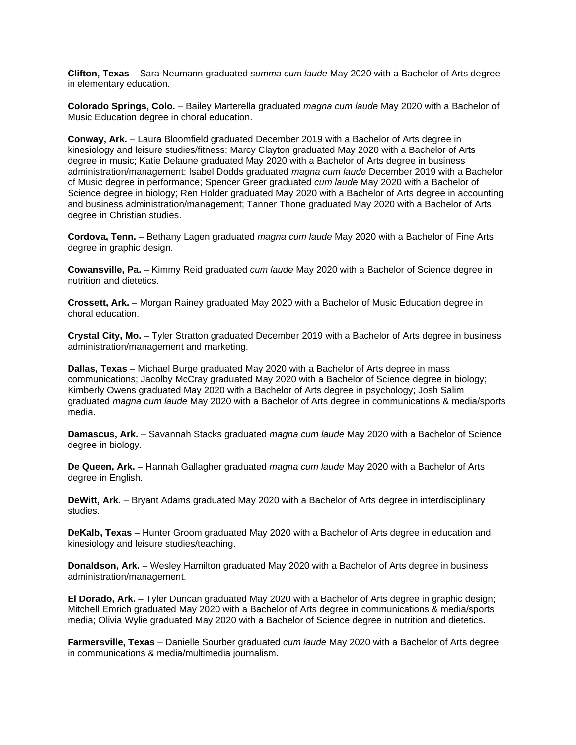**Clifton, Texas** – Sara Neumann graduated *summa cum laude* May 2020 with a Bachelor of Arts degree in elementary education.

**Colorado Springs, Colo.** – Bailey Marterella graduated *magna cum laude* May 2020 with a Bachelor of Music Education degree in choral education.

**Conway, Ark.** – Laura Bloomfield graduated December 2019 with a Bachelor of Arts degree in kinesiology and leisure studies/fitness; Marcy Clayton graduated May 2020 with a Bachelor of Arts degree in music; Katie Delaune graduated May 2020 with a Bachelor of Arts degree in business administration/management; Isabel Dodds graduated *magna cum laude* December 2019 with a Bachelor of Music degree in performance; Spencer Greer graduated *cum laude* May 2020 with a Bachelor of Science degree in biology; Ren Holder graduated May 2020 with a Bachelor of Arts degree in accounting and business administration/management; Tanner Thone graduated May 2020 with a Bachelor of Arts degree in Christian studies.

**Cordova, Tenn.** – Bethany Lagen graduated *magna cum laude* May 2020 with a Bachelor of Fine Arts degree in graphic design.

**Cowansville, Pa.** – Kimmy Reid graduated *cum laude* May 2020 with a Bachelor of Science degree in nutrition and dietetics.

**Crossett, Ark.** – Morgan Rainey graduated May 2020 with a Bachelor of Music Education degree in choral education.

**Crystal City, Mo.** – Tyler Stratton graduated December 2019 with a Bachelor of Arts degree in business administration/management and marketing.

**Dallas, Texas** – Michael Burge graduated May 2020 with a Bachelor of Arts degree in mass communications; Jacolby McCray graduated May 2020 with a Bachelor of Science degree in biology; Kimberly Owens graduated May 2020 with a Bachelor of Arts degree in psychology; Josh Salim graduated *magna cum laude* May 2020 with a Bachelor of Arts degree in communications & media/sports media.

**Damascus, Ark.** – Savannah Stacks graduated *magna cum laude* May 2020 with a Bachelor of Science degree in biology.

**De Queen, Ark.** – Hannah Gallagher graduated *magna cum laude* May 2020 with a Bachelor of Arts degree in English.

**DeWitt, Ark.** – Bryant Adams graduated May 2020 with a Bachelor of Arts degree in interdisciplinary studies.

**DeKalb, Texas** – Hunter Groom graduated May 2020 with a Bachelor of Arts degree in education and kinesiology and leisure studies/teaching.

**Donaldson, Ark.** – Wesley Hamilton graduated May 2020 with a Bachelor of Arts degree in business administration/management.

**El Dorado, Ark.** – Tyler Duncan graduated May 2020 with a Bachelor of Arts degree in graphic design; Mitchell Emrich graduated May 2020 with a Bachelor of Arts degree in communications & media/sports media; Olivia Wylie graduated May 2020 with a Bachelor of Science degree in nutrition and dietetics.

**Farmersville, Texas** – Danielle Sourber graduated *cum laude* May 2020 with a Bachelor of Arts degree in communications & media/multimedia journalism.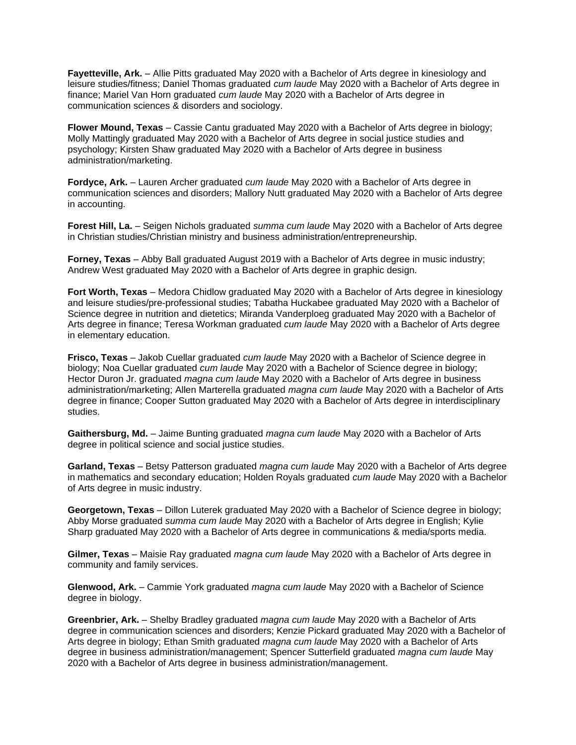**Fayetteville, Ark.** – Allie Pitts graduated May 2020 with a Bachelor of Arts degree in kinesiology and leisure studies/fitness; Daniel Thomas graduated *cum laude* May 2020 with a Bachelor of Arts degree in finance; Mariel Van Horn graduated *cum laude* May 2020 with a Bachelor of Arts degree in communication sciences & disorders and sociology.

**Flower Mound, Texas** – Cassie Cantu graduated May 2020 with a Bachelor of Arts degree in biology; Molly Mattingly graduated May 2020 with a Bachelor of Arts degree in social justice studies and psychology; Kirsten Shaw graduated May 2020 with a Bachelor of Arts degree in business administration/marketing.

**Fordyce, Ark.** – Lauren Archer graduated *cum laude* May 2020 with a Bachelor of Arts degree in communication sciences and disorders; Mallory Nutt graduated May 2020 with a Bachelor of Arts degree in accounting.

**Forest Hill, La.** – Seigen Nichols graduated *summa cum laude* May 2020 with a Bachelor of Arts degree in Christian studies/Christian ministry and business administration/entrepreneurship.

**Forney, Texas** – Abby Ball graduated August 2019 with a Bachelor of Arts degree in music industry; Andrew West graduated May 2020 with a Bachelor of Arts degree in graphic design.

**Fort Worth, Texas** – Medora Chidlow graduated May 2020 with a Bachelor of Arts degree in kinesiology and leisure studies/pre-professional studies; Tabatha Huckabee graduated May 2020 with a Bachelor of Science degree in nutrition and dietetics; Miranda Vanderploeg graduated May 2020 with a Bachelor of Arts degree in finance; Teresa Workman graduated *cum laude* May 2020 with a Bachelor of Arts degree in elementary education.

**Frisco, Texas** – Jakob Cuellar graduated *cum laude* May 2020 with a Bachelor of Science degree in biology; Noa Cuellar graduated *cum laude* May 2020 with a Bachelor of Science degree in biology; Hector Duron Jr. graduated *magna cum laude* May 2020 with a Bachelor of Arts degree in business administration/marketing; Allen Marterella graduated *magna cum laude* May 2020 with a Bachelor of Arts degree in finance; Cooper Sutton graduated May 2020 with a Bachelor of Arts degree in interdisciplinary studies.

**Gaithersburg, Md.** – Jaime Bunting graduated *magna cum laude* May 2020 with a Bachelor of Arts degree in political science and social justice studies.

**Garland, Texas** – Betsy Patterson graduated *magna cum laude* May 2020 with a Bachelor of Arts degree in mathematics and secondary education; Holden Royals graduated *cum laude* May 2020 with a Bachelor of Arts degree in music industry.

**Georgetown, Texas** – Dillon Luterek graduated May 2020 with a Bachelor of Science degree in biology; Abby Morse graduated *summa cum laude* May 2020 with a Bachelor of Arts degree in English; Kylie Sharp graduated May 2020 with a Bachelor of Arts degree in communications & media/sports media.

**Gilmer, Texas** – Maisie Ray graduated *magna cum laude* May 2020 with a Bachelor of Arts degree in community and family services.

**Glenwood, Ark.** – Cammie York graduated *magna cum laude* May 2020 with a Bachelor of Science degree in biology.

**Greenbrier, Ark.** – Shelby Bradley graduated *magna cum laude* May 2020 with a Bachelor of Arts degree in communication sciences and disorders; Kenzie Pickard graduated May 2020 with a Bachelor of Arts degree in biology; Ethan Smith graduated *magna cum laude* May 2020 with a Bachelor of Arts degree in business administration/management; Spencer Sutterfield graduated *magna cum laude* May 2020 with a Bachelor of Arts degree in business administration/management.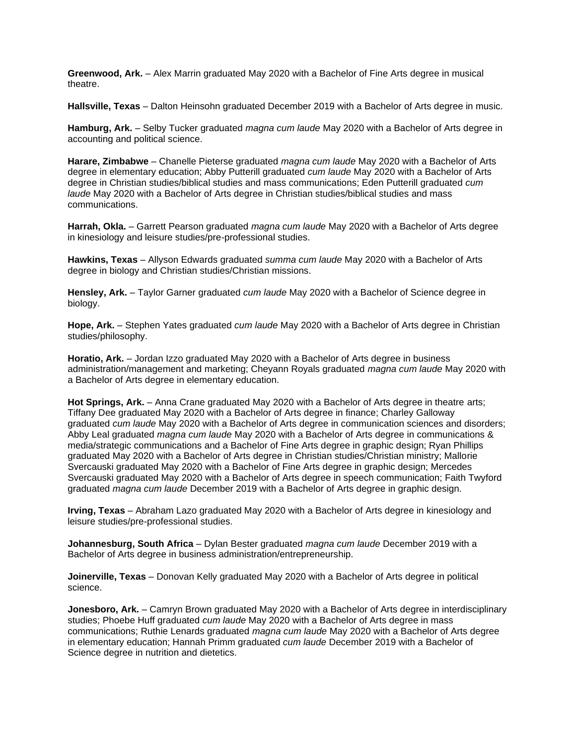**Greenwood, Ark.** – Alex Marrin graduated May 2020 with a Bachelor of Fine Arts degree in musical theatre.

**Hallsville, Texas** – Dalton Heinsohn graduated December 2019 with a Bachelor of Arts degree in music.

**Hamburg, Ark.** – Selby Tucker graduated *magna cum laude* May 2020 with a Bachelor of Arts degree in accounting and political science.

**Harare, Zimbabwe** – Chanelle Pieterse graduated *magna cum laude* May 2020 with a Bachelor of Arts degree in elementary education; Abby Putterill graduated *cum laude* May 2020 with a Bachelor of Arts degree in Christian studies/biblical studies and mass communications; Eden Putterill graduated *cum laude* May 2020 with a Bachelor of Arts degree in Christian studies/biblical studies and mass communications.

**Harrah, Okla.** – Garrett Pearson graduated *magna cum laude* May 2020 with a Bachelor of Arts degree in kinesiology and leisure studies/pre-professional studies.

**Hawkins, Texas** – Allyson Edwards graduated *summa cum laude* May 2020 with a Bachelor of Arts degree in biology and Christian studies/Christian missions.

**Hensley, Ark.** – Taylor Garner graduated *cum laude* May 2020 with a Bachelor of Science degree in biology.

**Hope, Ark.** – Stephen Yates graduated *cum laude* May 2020 with a Bachelor of Arts degree in Christian studies/philosophy.

**Horatio, Ark.** – Jordan Izzo graduated May 2020 with a Bachelor of Arts degree in business administration/management and marketing; Cheyann Royals graduated *magna cum laude* May 2020 with a Bachelor of Arts degree in elementary education.

**Hot Springs, Ark.** – Anna Crane graduated May 2020 with a Bachelor of Arts degree in theatre arts; Tiffany Dee graduated May 2020 with a Bachelor of Arts degree in finance; Charley Galloway graduated *cum laude* May 2020 with a Bachelor of Arts degree in communication sciences and disorders; Abby Leal graduated *magna cum laude* May 2020 with a Bachelor of Arts degree in communications & media/strategic communications and a Bachelor of Fine Arts degree in graphic design; Ryan Phillips graduated May 2020 with a Bachelor of Arts degree in Christian studies/Christian ministry; Mallorie Svercauski graduated May 2020 with a Bachelor of Fine Arts degree in graphic design; Mercedes Svercauski graduated May 2020 with a Bachelor of Arts degree in speech communication; Faith Twyford graduated *magna cum laude* December 2019 with a Bachelor of Arts degree in graphic design.

**Irving, Texas** – Abraham Lazo graduated May 2020 with a Bachelor of Arts degree in kinesiology and leisure studies/pre-professional studies.

**Johannesburg, South Africa** – Dylan Bester graduated *magna cum laude* December 2019 with a Bachelor of Arts degree in business administration/entrepreneurship.

**Joinerville, Texas** – Donovan Kelly graduated May 2020 with a Bachelor of Arts degree in political science.

**Jonesboro, Ark.** – Camryn Brown graduated May 2020 with a Bachelor of Arts degree in interdisciplinary studies; Phoebe Huff graduated *cum laude* May 2020 with a Bachelor of Arts degree in mass communications; Ruthie Lenards graduated *magna cum laude* May 2020 with a Bachelor of Arts degree in elementary education; Hannah Primm graduated *cum laude* December 2019 with a Bachelor of Science degree in nutrition and dietetics.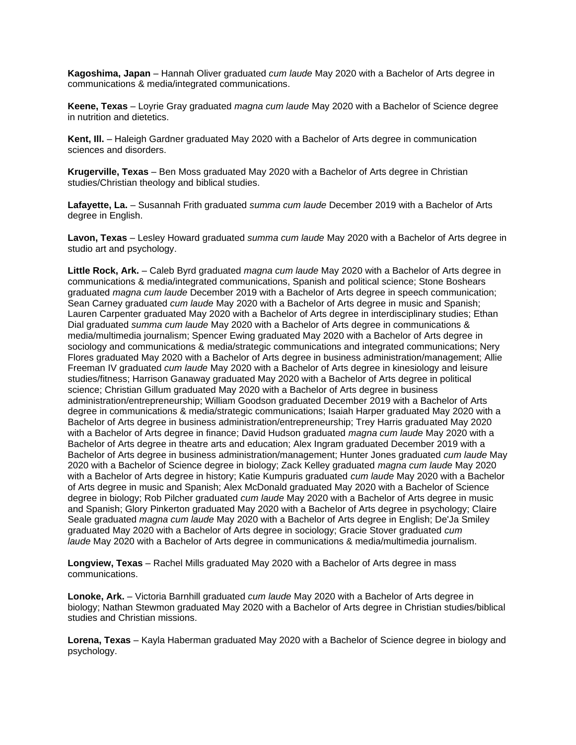**Kagoshima, Japan** – Hannah Oliver graduated *cum laude* May 2020 with a Bachelor of Arts degree in communications & media/integrated communications.

**Keene, Texas** – Loyrie Gray graduated *magna cum laude* May 2020 with a Bachelor of Science degree in nutrition and dietetics.

**Kent, Ill.** – Haleigh Gardner graduated May 2020 with a Bachelor of Arts degree in communication sciences and disorders.

**Krugerville, Texas** – Ben Moss graduated May 2020 with a Bachelor of Arts degree in Christian studies/Christian theology and biblical studies.

**Lafayette, La.** – Susannah Frith graduated *summa cum laude* December 2019 with a Bachelor of Arts degree in English.

**Lavon, Texas** – Lesley Howard graduated *summa cum laude* May 2020 with a Bachelor of Arts degree in studio art and psychology.

**Little Rock, Ark.** – Caleb Byrd graduated *magna cum laude* May 2020 with a Bachelor of Arts degree in communications & media/integrated communications, Spanish and political science; Stone Boshears graduated *magna cum laude* December 2019 with a Bachelor of Arts degree in speech communication; Sean Carney graduated *cum laude* May 2020 with a Bachelor of Arts degree in music and Spanish; Lauren Carpenter graduated May 2020 with a Bachelor of Arts degree in interdisciplinary studies; Ethan Dial graduated *summa cum laude* May 2020 with a Bachelor of Arts degree in communications & media/multimedia journalism; Spencer Ewing graduated May 2020 with a Bachelor of Arts degree in sociology and communications & media/strategic communications and integrated communications; Nery Flores graduated May 2020 with a Bachelor of Arts degree in business administration/management; Allie Freeman IV graduated *cum laude* May 2020 with a Bachelor of Arts degree in kinesiology and leisure studies/fitness; Harrison Ganaway graduated May 2020 with a Bachelor of Arts degree in political science; Christian Gillum graduated May 2020 with a Bachelor of Arts degree in business administration/entrepreneurship; William Goodson graduated December 2019 with a Bachelor of Arts degree in communications & media/strategic communications; Isaiah Harper graduated May 2020 with a Bachelor of Arts degree in business administration/entrepreneurship; Trey Harris graduated May 2020 with a Bachelor of Arts degree in finance; David Hudson graduated *magna cum laude* May 2020 with a Bachelor of Arts degree in theatre arts and education; Alex Ingram graduated December 2019 with a Bachelor of Arts degree in business administration/management; Hunter Jones graduated *cum laude* May 2020 with a Bachelor of Science degree in biology; Zack Kelley graduated *magna cum laude* May 2020 with a Bachelor of Arts degree in history; Katie Kumpuris graduated *cum laude* May 2020 with a Bachelor of Arts degree in music and Spanish; Alex McDonald graduated May 2020 with a Bachelor of Science degree in biology; Rob Pilcher graduated *cum laude* May 2020 with a Bachelor of Arts degree in music and Spanish; Glory Pinkerton graduated May 2020 with a Bachelor of Arts degree in psychology; Claire Seale graduated *magna cum laude* May 2020 with a Bachelor of Arts degree in English; De'Ja Smiley graduated May 2020 with a Bachelor of Arts degree in sociology; Gracie Stover graduated *cum laude* May 2020 with a Bachelor of Arts degree in communications & media/multimedia journalism.

**Longview, Texas** – Rachel Mills graduated May 2020 with a Bachelor of Arts degree in mass communications.

**Lonoke, Ark.** – Victoria Barnhill graduated *cum laude* May 2020 with a Bachelor of Arts degree in biology; Nathan Stewmon graduated May 2020 with a Bachelor of Arts degree in Christian studies/biblical studies and Christian missions.

**Lorena, Texas** – Kayla Haberman graduated May 2020 with a Bachelor of Science degree in biology and psychology.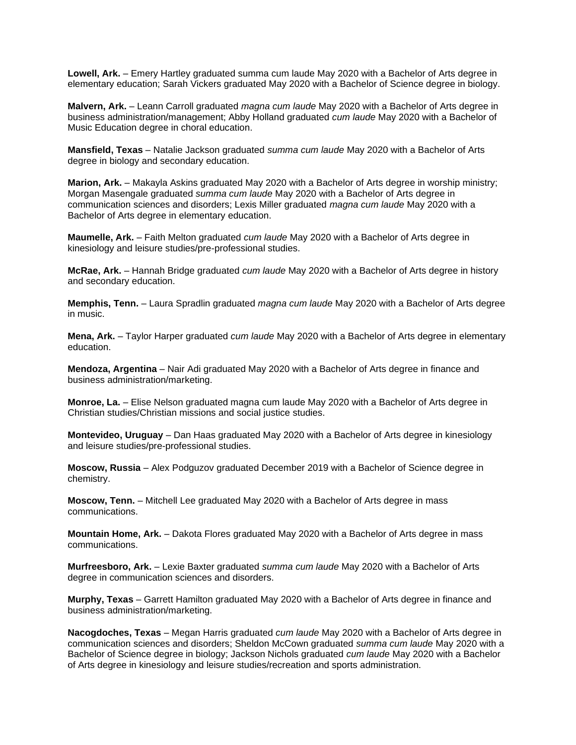**Lowell, Ark.** – Emery Hartley graduated summa cum laude May 2020 with a Bachelor of Arts degree in elementary education; Sarah Vickers graduated May 2020 with a Bachelor of Science degree in biology.

**Malvern, Ark.** – Leann Carroll graduated *magna cum laude* May 2020 with a Bachelor of Arts degree in business administration/management; Abby Holland graduated *cum laude* May 2020 with a Bachelor of Music Education degree in choral education.

**Mansfield, Texas** – Natalie Jackson graduated *summa cum laude* May 2020 with a Bachelor of Arts degree in biology and secondary education.

**Marion, Ark.** – Makayla Askins graduated May 2020 with a Bachelor of Arts degree in worship ministry; Morgan Masengale graduated *summa cum laude* May 2020 with a Bachelor of Arts degree in communication sciences and disorders; Lexis Miller graduated *magna cum laude* May 2020 with a Bachelor of Arts degree in elementary education.

**Maumelle, Ark.** – Faith Melton graduated *cum laude* May 2020 with a Bachelor of Arts degree in kinesiology and leisure studies/pre-professional studies.

**McRae, Ark.** – Hannah Bridge graduated *cum laude* May 2020 with a Bachelor of Arts degree in history and secondary education.

**Memphis, Tenn.** – Laura Spradlin graduated *magna cum laude* May 2020 with a Bachelor of Arts degree in music.

**Mena, Ark.** – Taylor Harper graduated *cum laude* May 2020 with a Bachelor of Arts degree in elementary education.

**Mendoza, Argentina** – Nair Adi graduated May 2020 with a Bachelor of Arts degree in finance and business administration/marketing.

**Monroe, La.** – Elise Nelson graduated magna cum laude May 2020 with a Bachelor of Arts degree in Christian studies/Christian missions and social justice studies.

**Montevideo, Uruguay** – Dan Haas graduated May 2020 with a Bachelor of Arts degree in kinesiology and leisure studies/pre-professional studies.

**Moscow, Russia** – Alex Podguzov graduated December 2019 with a Bachelor of Science degree in chemistry.

**Moscow, Tenn.** – Mitchell Lee graduated May 2020 with a Bachelor of Arts degree in mass communications.

**Mountain Home, Ark.** – Dakota Flores graduated May 2020 with a Bachelor of Arts degree in mass communications.

**Murfreesboro, Ark.** – Lexie Baxter graduated *summa cum laude* May 2020 with a Bachelor of Arts degree in communication sciences and disorders.

**Murphy, Texas** – Garrett Hamilton graduated May 2020 with a Bachelor of Arts degree in finance and business administration/marketing.

**Nacogdoches, Texas** – Megan Harris graduated *cum laude* May 2020 with a Bachelor of Arts degree in communication sciences and disorders; Sheldon McCown graduated *summa cum laude* May 2020 with a Bachelor of Science degree in biology; Jackson Nichols graduated *cum laude* May 2020 with a Bachelor of Arts degree in kinesiology and leisure studies/recreation and sports administration.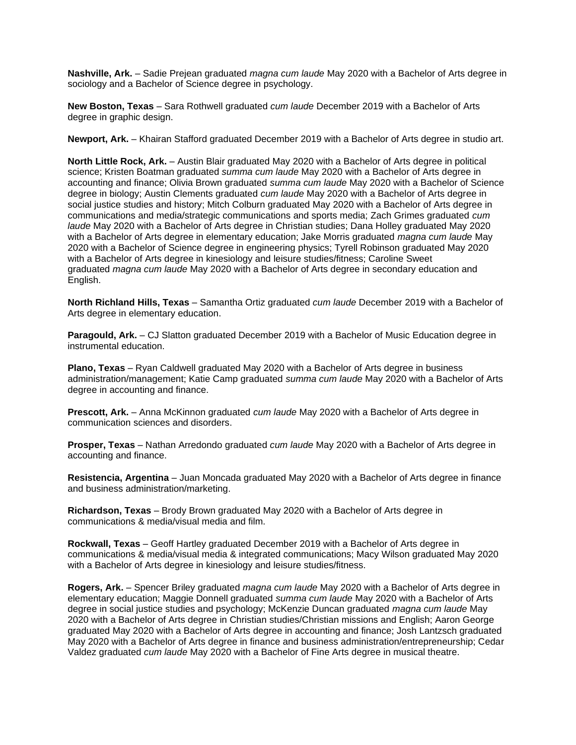**Nashville, Ark.** – Sadie Prejean graduated *magna cum laude* May 2020 with a Bachelor of Arts degree in sociology and a Bachelor of Science degree in psychology.

**New Boston, Texas** – Sara Rothwell graduated *cum laude* December 2019 with a Bachelor of Arts degree in graphic design.

**Newport, Ark.** – Khairan Stafford graduated December 2019 with a Bachelor of Arts degree in studio art.

**North Little Rock, Ark.** – Austin Blair graduated May 2020 with a Bachelor of Arts degree in political science; Kristen Boatman graduated *summa cum laude* May 2020 with a Bachelor of Arts degree in accounting and finance; Olivia Brown graduated *summa cum laude* May 2020 with a Bachelor of Science degree in biology; Austin Clements graduated *cum laude* May 2020 with a Bachelor of Arts degree in social justice studies and history; Mitch Colburn graduated May 2020 with a Bachelor of Arts degree in communications and media/strategic communications and sports media; Zach Grimes graduated *cum laude* May 2020 with a Bachelor of Arts degree in Christian studies; Dana Holley graduated May 2020 with a Bachelor of Arts degree in elementary education; Jake Morris graduated *magna cum laude* May 2020 with a Bachelor of Science degree in engineering physics; Tyrell Robinson graduated May 2020 with a Bachelor of Arts degree in kinesiology and leisure studies/fitness; Caroline Sweet graduated *magna cum laude* May 2020 with a Bachelor of Arts degree in secondary education and English.

**North Richland Hills, Texas** – Samantha Ortiz graduated *cum laude* December 2019 with a Bachelor of Arts degree in elementary education.

**Paragould, Ark.** – CJ Slatton graduated December 2019 with a Bachelor of Music Education degree in instrumental education.

**Plano, Texas** – Ryan Caldwell graduated May 2020 with a Bachelor of Arts degree in business administration/management; Katie Camp graduated *summa cum laude* May 2020 with a Bachelor of Arts degree in accounting and finance.

**Prescott, Ark.** – Anna McKinnon graduated *cum laude* May 2020 with a Bachelor of Arts degree in communication sciences and disorders.

**Prosper, Texas** – Nathan Arredondo graduated *cum laude* May 2020 with a Bachelor of Arts degree in accounting and finance.

**Resistencia, Argentina** – Juan Moncada graduated May 2020 with a Bachelor of Arts degree in finance and business administration/marketing.

**Richardson, Texas** – Brody Brown graduated May 2020 with a Bachelor of Arts degree in communications & media/visual media and film.

**Rockwall, Texas** – Geoff Hartley graduated December 2019 with a Bachelor of Arts degree in communications & media/visual media & integrated communications; Macy Wilson graduated May 2020 with a Bachelor of Arts degree in kinesiology and leisure studies/fitness.

**Rogers, Ark.** – Spencer Briley graduated *magna cum laude* May 2020 with a Bachelor of Arts degree in elementary education; Maggie Donnell graduated *summa cum laude* May 2020 with a Bachelor of Arts degree in social justice studies and psychology; McKenzie Duncan graduated *magna cum laude* May 2020 with a Bachelor of Arts degree in Christian studies/Christian missions and English; Aaron George graduated May 2020 with a Bachelor of Arts degree in accounting and finance; Josh Lantzsch graduated May 2020 with a Bachelor of Arts degree in finance and business administration/entrepreneurship; Cedar Valdez graduated *cum laude* May 2020 with a Bachelor of Fine Arts degree in musical theatre.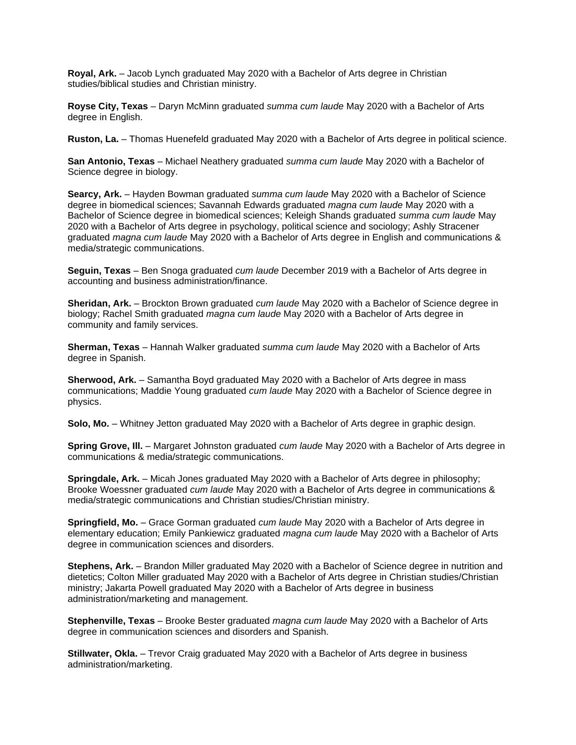**Royal, Ark.** – Jacob Lynch graduated May 2020 with a Bachelor of Arts degree in Christian studies/biblical studies and Christian ministry.

**Royse City, Texas** – Daryn McMinn graduated *summa cum laude* May 2020 with a Bachelor of Arts degree in English.

**Ruston, La.** – Thomas Huenefeld graduated May 2020 with a Bachelor of Arts degree in political science.

**San Antonio, Texas** – Michael Neathery graduated *summa cum laude* May 2020 with a Bachelor of Science degree in biology.

**Searcy, Ark.** – Hayden Bowman graduated *summa cum laude* May 2020 with a Bachelor of Science degree in biomedical sciences; Savannah Edwards graduated *magna cum laude* May 2020 with a Bachelor of Science degree in biomedical sciences; Keleigh Shands graduated *summa cum laude* May 2020 with a Bachelor of Arts degree in psychology, political science and sociology; Ashly Stracener graduated *magna cum laude* May 2020 with a Bachelor of Arts degree in English and communications & media/strategic communications.

**Seguin, Texas** – Ben Snoga graduated *cum laude* December 2019 with a Bachelor of Arts degree in accounting and business administration/finance.

**Sheridan, Ark.** – Brockton Brown graduated *cum laude* May 2020 with a Bachelor of Science degree in biology; Rachel Smith graduated *magna cum laude* May 2020 with a Bachelor of Arts degree in community and family services.

**Sherman, Texas** – Hannah Walker graduated *summa cum laude* May 2020 with a Bachelor of Arts degree in Spanish.

**Sherwood, Ark.** – Samantha Boyd graduated May 2020 with a Bachelor of Arts degree in mass communications; Maddie Young graduated *cum laude* May 2020 with a Bachelor of Science degree in physics.

**Solo, Mo.** – Whitney Jetton graduated May 2020 with a Bachelor of Arts degree in graphic design.

**Spring Grove, Ill.** – Margaret Johnston graduated *cum laude* May 2020 with a Bachelor of Arts degree in communications & media/strategic communications.

**Springdale, Ark.** – Micah Jones graduated May 2020 with a Bachelor of Arts degree in philosophy; Brooke Woessner graduated *cum laude* May 2020 with a Bachelor of Arts degree in communications & media/strategic communications and Christian studies/Christian ministry.

**Springfield, Mo.** – Grace Gorman graduated *cum laude* May 2020 with a Bachelor of Arts degree in elementary education; Emily Pankiewicz graduated *magna cum laude* May 2020 with a Bachelor of Arts degree in communication sciences and disorders.

**Stephens, Ark.** – Brandon Miller graduated May 2020 with a Bachelor of Science degree in nutrition and dietetics; Colton Miller graduated May 2020 with a Bachelor of Arts degree in Christian studies/Christian ministry; Jakarta Powell graduated May 2020 with a Bachelor of Arts degree in business administration/marketing and management.

**Stephenville, Texas** – Brooke Bester graduated *magna cum laude* May 2020 with a Bachelor of Arts degree in communication sciences and disorders and Spanish.

**Stillwater, Okla.** – Trevor Craig graduated May 2020 with a Bachelor of Arts degree in business administration/marketing.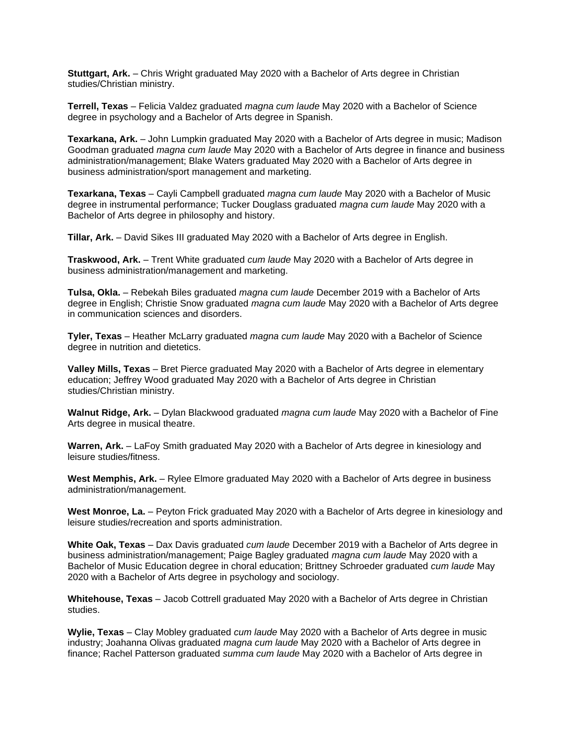**Stuttgart, Ark.** – Chris Wright graduated May 2020 with a Bachelor of Arts degree in Christian studies/Christian ministry.

**Terrell, Texas** – Felicia Valdez graduated *magna cum laude* May 2020 with a Bachelor of Science degree in psychology and a Bachelor of Arts degree in Spanish.

**Texarkana, Ark.** – John Lumpkin graduated May 2020 with a Bachelor of Arts degree in music; Madison Goodman graduated *magna cum laude* May 2020 with a Bachelor of Arts degree in finance and business administration/management; Blake Waters graduated May 2020 with a Bachelor of Arts degree in business administration/sport management and marketing.

**Texarkana, Texas** – Cayli Campbell graduated *magna cum laude* May 2020 with a Bachelor of Music degree in instrumental performance; Tucker Douglass graduated *magna cum laude* May 2020 with a Bachelor of Arts degree in philosophy and history.

**Tillar, Ark.** – David Sikes III graduated May 2020 with a Bachelor of Arts degree in English.

**Traskwood, Ark.** – Trent White graduated *cum laude* May 2020 with a Bachelor of Arts degree in business administration/management and marketing.

**Tulsa, Okla.** – Rebekah Biles graduated *magna cum laude* December 2019 with a Bachelor of Arts degree in English; Christie Snow graduated *magna cum laude* May 2020 with a Bachelor of Arts degree in communication sciences and disorders.

**Tyler, Texas** – Heather McLarry graduated *magna cum laude* May 2020 with a Bachelor of Science degree in nutrition and dietetics.

**Valley Mills, Texas** – Bret Pierce graduated May 2020 with a Bachelor of Arts degree in elementary education; Jeffrey Wood graduated May 2020 with a Bachelor of Arts degree in Christian studies/Christian ministry.

**Walnut Ridge, Ark.** – Dylan Blackwood graduated *magna cum laude* May 2020 with a Bachelor of Fine Arts degree in musical theatre.

**Warren, Ark.** – LaFoy Smith graduated May 2020 with a Bachelor of Arts degree in kinesiology and leisure studies/fitness.

**West Memphis, Ark.** – Rylee Elmore graduated May 2020 with a Bachelor of Arts degree in business administration/management.

**West Monroe, La.** – Peyton Frick graduated May 2020 with a Bachelor of Arts degree in kinesiology and leisure studies/recreation and sports administration.

**White Oak, Texas** – Dax Davis graduated *cum laude* December 2019 with a Bachelor of Arts degree in business administration/management; Paige Bagley graduated *magna cum laude* May 2020 with a Bachelor of Music Education degree in choral education; Brittney Schroeder graduated *cum laude* May 2020 with a Bachelor of Arts degree in psychology and sociology.

**Whitehouse, Texas** – Jacob Cottrell graduated May 2020 with a Bachelor of Arts degree in Christian studies.

**Wylie, Texas** – Clay Mobley graduated *cum laude* May 2020 with a Bachelor of Arts degree in music industry; Joahanna Olivas graduated *magna cum laude* May 2020 with a Bachelor of Arts degree in finance; Rachel Patterson graduated *summa cum laude* May 2020 with a Bachelor of Arts degree in